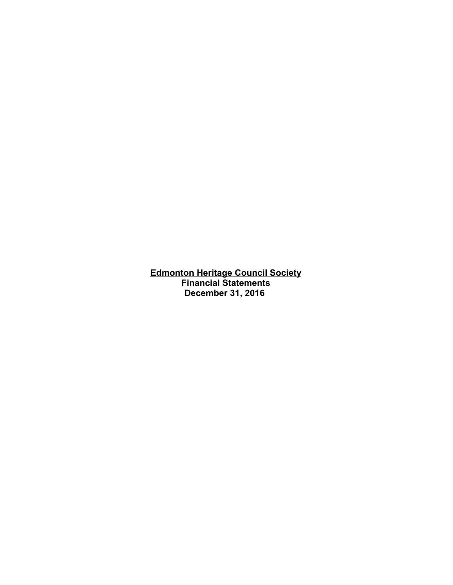**Edmonton Heritage Council Society Financial Statements December 31, 2016**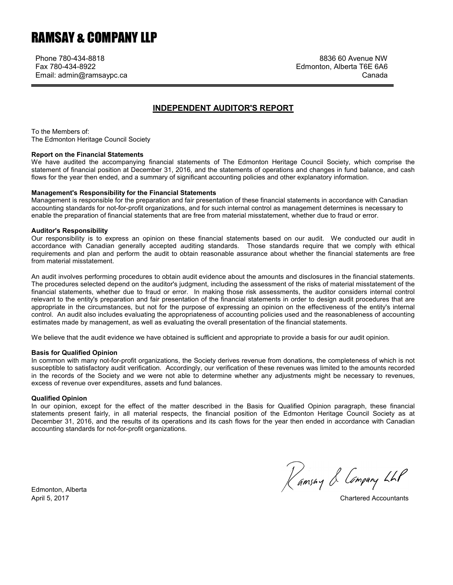# RAMSAY & COMPANY LLP

Phone 780-434-8818 8836 60 Avenue NW Fax 780-434-8922 Edmonton, Alberta T6E 6A6 Email: admin@ramsaypc.ca Canada

## **INDEPENDENT AUDITOR'S REPORT**

To the Members of: The Edmonton Heritage Council Society

#### **Report on the Financial Statements**

We have audited the accompanying financial statements of The Edmonton Heritage Council Society, which comprise the statement of financial position at December 31, 2016, and the statements of operations and changes in fund balance, and cash flows for the year then ended, and a summary of significant accounting policies and other explanatory information.

#### **Management's Responsibility for the Financial Statements**

Management is responsible for the preparation and fair presentation of these financial statements in accordance with Canadian accounting standards for not-for-profit organizations, and for such internal control as management determines is necessary to enable the preparation of financial statements that are free from material misstatement, whether due to fraud or error.

#### **Auditor's Responsibility**

Our responsibility is to express an opinion on these financial statements based on our audit. We conducted our audit in accordance with Canadian generally accepted auditing standards. Those standards require that we comply with ethical requirements and plan and perform the audit to obtain reasonable assurance about whether the financial statements are free from material misstatement.

An audit involves performing procedures to obtain audit evidence about the amounts and disclosures in the financial statements. The procedures selected depend on the auditor's judgment, including the assessment of the risks of material misstatement of the financial statements, whether due to fraud or error. In making those risk assessments, the auditor considers internal control relevant to the entity's preparation and fair presentation of the financial statements in order to design audit procedures that are appropriate in the circumstances, but not for the purpose of expressing an opinion on the effectiveness of the entity's internal control. An audit also includes evaluating the appropriateness of accounting policies used and the reasonableness of accounting estimates made by management, as well as evaluating the overall presentation of the financial statements.

We believe that the audit evidence we have obtained is sufficient and appropriate to provide a basis for our audit opinion.

#### **Basis for Qualified Opinion**

In common with many not-for-profit organizations, the Society derives revenue from donations, the completeness of which is not susceptible to satisfactory audit verification. Accordingly, our verification of these revenues was limited to the amounts recorded in the records of the Society and we were not able to determine whether any adjustments might be necessary to revenues, excess of revenue over expenditures, assets and fund balances.

#### **Qualified Opinion**

In our opinion, except for the effect of the matter described in the Basis for Qualified Opinion paragraph, these financial statements present fairly, in all material respects, the financial position of the Edmonton Heritage Council Society as at December 31, 2016, and the results of its operations and its cash flows for the year then ended in accordance with Canadian accounting standards for not-for-profit organizations.

Edmonton, Alberta

Ramsay & Company LLP

April 5, 2017 **Chartered Accountants**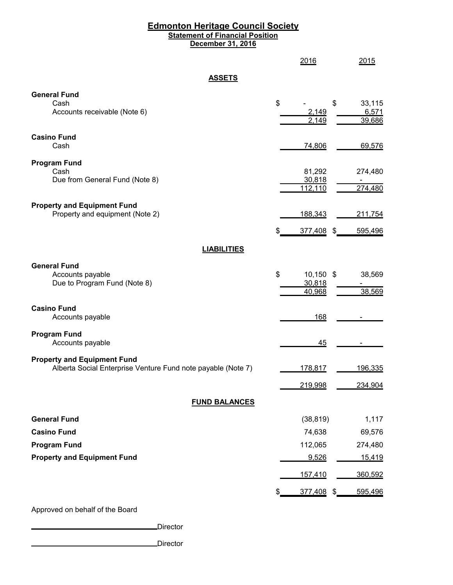## **Edmonton Heritage Council Society Statement of Financial Position December 31, 2016**

|                                                                                                    | 2016                                | 2015                            |
|----------------------------------------------------------------------------------------------------|-------------------------------------|---------------------------------|
| <b>ASSETS</b>                                                                                      |                                     |                                 |
| <b>General Fund</b><br>Cash<br>Accounts receivable (Note 6)                                        | \$<br>2,149<br>2,149                | \$<br>33,115<br>6,571<br>39,686 |
| <b>Casino Fund</b><br>Cash                                                                         | 74,806                              | 69,576                          |
| <b>Program Fund</b><br>Cash<br>Due from General Fund (Note 8)                                      | 81,292<br>30,818<br>112,110         | 274,480<br>274,480              |
| <b>Property and Equipment Fund</b><br>Property and equipment (Note 2)                              | \$<br>188,343<br>377,408            | \$<br>211,754<br>595,496        |
| <b>LIABILITIES</b>                                                                                 |                                     |                                 |
| <b>General Fund</b><br>Accounts payable<br>Due to Program Fund (Note 8)                            | \$<br>10,150 \$<br>30,818<br>40,968 | 38,569<br>38,569                |
| <b>Casino Fund</b><br>Accounts payable                                                             | 168                                 |                                 |
| <b>Program Fund</b><br>Accounts payable                                                            | 45                                  |                                 |
| <b>Property and Equipment Fund</b><br>Alberta Social Enterprise Venture Fund note payable (Note 7) | 178,817<br>219.998                  | 196,335<br>234.904              |
| <b>FUND BALANCES</b>                                                                               |                                     |                                 |
| <b>General Fund</b>                                                                                | (38, 819)                           | 1,117                           |
| <b>Casino Fund</b>                                                                                 | 74,638                              | 69,576                          |
| <b>Program Fund</b>                                                                                | 112,065                             | 274,480                         |
| <b>Property and Equipment Fund</b>                                                                 | 9,526                               | 15,419                          |
|                                                                                                    | 157,410                             | 360,592                         |
|                                                                                                    | \$<br><u>377,408</u>                | \$<br>595,496                   |

Approved on behalf of the Board

Director

Director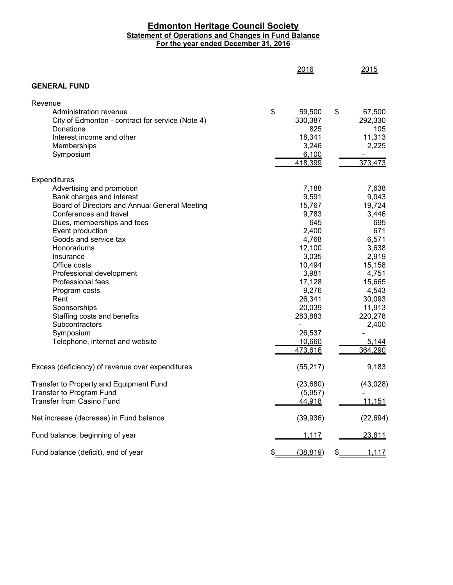# **Edmonton Heritage Council Society Statement of Operations and Changes in Fund Balance For the year ended December 31, 2016**

|                                                  | 2016                  | 2015      |
|--------------------------------------------------|-----------------------|-----------|
| <b>GENERAL FUND</b>                              |                       |           |
| Revenue                                          |                       |           |
| Administration revenue                           | \$<br>59,500<br>\$    | 67,500    |
| City of Edmonton - contract for service (Note 4) | 330,387               | 292,330   |
| Donations                                        | 825                   | 105       |
| Interest income and other                        | 18,341                | 11,313    |
| Memberships                                      | 3,246                 | 2,225     |
| Symposium                                        | 6,100                 |           |
|                                                  | 418,399               | 373,473   |
| Expenditures                                     |                       |           |
| Advertising and promotion                        | 7,188                 | 7,638     |
| Bank charges and interest                        | 9,591                 | 9,043     |
| Board of Directors and Annual General Meeting    | 15,767                | 19,724    |
| Conferences and travel                           | 9,783                 | 3,446     |
| Dues, memberships and fees                       | 645                   | 695       |
| Event production                                 | 2,400                 | 671       |
| Goods and service tax                            | 4,768                 | 6,571     |
| Honorariums                                      | 12,100                | 3,638     |
| Insurance                                        | 3,035                 | 2,919     |
| Office costs                                     | 10,494                | 15,158    |
| Professional development                         | 3,981                 | 4,751     |
| Professional fees                                | 17,128                | 15,665    |
| Program costs                                    | 9,276                 | 4,543     |
| Rent                                             | 26,341                | 30,093    |
| Sponsorships                                     | 20,039                | 11,913    |
| Staffing costs and benefits                      | 283,883               | 220,278   |
| Subcontractors                                   |                       | 2,400     |
| Symposium                                        | 26,537                |           |
| Telephone, internet and website                  | 10,660                | 5,144     |
|                                                  | 473,616               | 364,290   |
| Excess (deficiency) of revenue over expenditures | (55, 217)             | 9,183     |
| Transfer to Property and Equipment Fund          | (23,680)              | (43,028)  |
| Transfer to Program Fund                         | (5,957)               |           |
| <b>Transfer from Casino Fund</b>                 | 44,918                | 11,151    |
| Net increase (decrease) in Fund balance          | (39, 936)             | (22, 694) |
| Fund balance, beginning of year                  | <u>1,117</u>          | 23,811    |
| Fund balance (deficit), end of year              | (38, 819)<br>\$<br>\$ | 1,117     |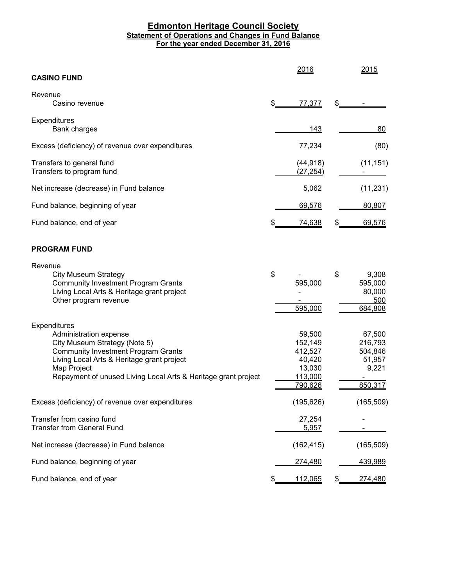# **Edmonton Heritage Council Society Statement of Operations and Changes in Fund Balance For the year ended December 31, 2016**

|                                                                                                                                                                                                                                                      | 2016                                                                   | 2015                                                       |
|------------------------------------------------------------------------------------------------------------------------------------------------------------------------------------------------------------------------------------------------------|------------------------------------------------------------------------|------------------------------------------------------------|
| <b>CASINO FUND</b>                                                                                                                                                                                                                                   |                                                                        |                                                            |
| Revenue<br>Casino revenue                                                                                                                                                                                                                            | \$<br>77,377                                                           | \$                                                         |
| Expenditures<br><b>Bank charges</b>                                                                                                                                                                                                                  | <u> 143</u>                                                            | 80                                                         |
| Excess (deficiency) of revenue over expenditures                                                                                                                                                                                                     | 77,234                                                                 | (80)                                                       |
| Transfers to general fund<br>Transfers to program fund                                                                                                                                                                                               | (44, 918)<br><u>(27,254)</u>                                           | (11, 151)                                                  |
| Net increase (decrease) in Fund balance                                                                                                                                                                                                              | 5,062                                                                  | (11, 231)                                                  |
| Fund balance, beginning of year                                                                                                                                                                                                                      | 69,576                                                                 | 80,807                                                     |
| Fund balance, end of year                                                                                                                                                                                                                            | 74,638                                                                 | 69,576                                                     |
| <b>PROGRAM FUND</b>                                                                                                                                                                                                                                  |                                                                        |                                                            |
| Revenue<br><b>City Museum Strategy</b><br><b>Community Investment Program Grants</b><br>Living Local Arts & Heritage grant project<br>Other program revenue                                                                                          | \$<br>595,000<br>595,000                                               | \$<br>9,308<br>595,000<br>80,000<br>500<br>684,808         |
| Expenditures<br>Administration expense<br>City Museum Strategy (Note 5)<br><b>Community Investment Program Grants</b><br>Living Local Arts & Heritage grant project<br>Map Project<br>Repayment of unused Living Local Arts & Heritage grant project | 59,500<br>152,149<br>412,527<br>40,420<br>13,030<br>113,000<br>790,626 | 67,500<br>216,793<br>504,846<br>51,957<br>9,221<br>850,317 |
| Excess (deficiency) of revenue over expenditures                                                                                                                                                                                                     | (195, 626)                                                             | (165, 509)                                                 |
| Transfer from casino fund<br><b>Transfer from General Fund</b>                                                                                                                                                                                       | 27,254<br>5,957                                                        |                                                            |
| Net increase (decrease) in Fund balance                                                                                                                                                                                                              | (162, 415)                                                             | (165, 509)                                                 |
| Fund balance, beginning of year                                                                                                                                                                                                                      | <u>274,480</u>                                                         | 439,989                                                    |
| Fund balance, end of year                                                                                                                                                                                                                            | \$<br>112,065                                                          | \$<br>274,480                                              |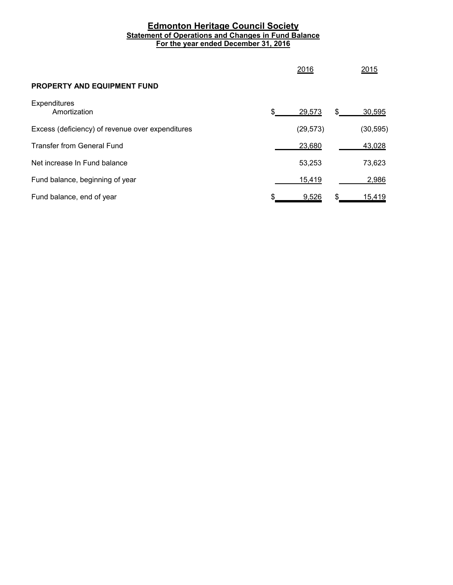# **Edmonton Heritage Council Society Statement of Operations and Changes in Fund Balance For the year ended December 31, 2016**

|                                                  | 2016         | 2015         |
|--------------------------------------------------|--------------|--------------|
| PROPERTY AND EQUIPMENT FUND                      |              |              |
| <b>Expenditures</b><br>Amortization              | \$<br>29,573 | 30,595<br>\$ |
| Excess (deficiency) of revenue over expenditures | (29, 573)    | (30, 595)    |
| <b>Transfer from General Fund</b>                | 23,680       | 43,028       |
| Net increase In Fund balance                     | 53,253       | 73,623       |
| Fund balance, beginning of year                  | 15,419       | 2,986        |
| Fund balance, end of year                        | 9,526<br>S   | 15,419<br>S  |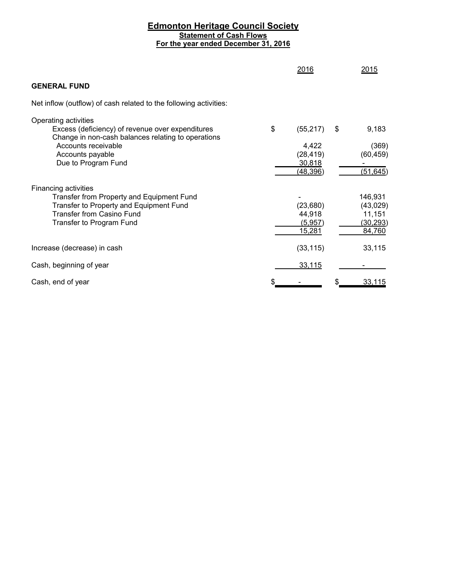# **Edmonton Heritage Council Society Statement of Cash Flows For the year ended December 31, 2016**

|                                                                                                                                                                                                  | 2016                                                         | 2015                                                       |
|--------------------------------------------------------------------------------------------------------------------------------------------------------------------------------------------------|--------------------------------------------------------------|------------------------------------------------------------|
| <b>GENERAL FUND</b>                                                                                                                                                                              |                                                              |                                                            |
| Net inflow (outflow) of cash related to the following activities:                                                                                                                                |                                                              |                                                            |
| Operating activities<br>Excess (deficiency) of revenue over expenditures<br>Change in non-cash balances relating to operations<br>Accounts receivable<br>Accounts payable<br>Due to Program Fund | \$<br>(55, 217)<br>4,422<br>(28, 419)<br>30,818<br>(48, 396) | \$<br>9,183<br>(369)<br>(60, 459)<br>(51, 645)             |
| Financing activities<br>Transfer from Property and Equipment Fund<br>Transfer to Property and Equipment Fund<br><b>Transfer from Casino Fund</b><br>Transfer to Program Fund                     | (23, 680)<br>44,918<br>(5,957)<br>15,281                     | 146,931<br>(43,029)<br>11,151<br><u>(30,293)</u><br>84,760 |
| Increase (decrease) in cash                                                                                                                                                                      | (33, 115)                                                    | 33,115                                                     |
| Cash, beginning of year                                                                                                                                                                          | 33,115                                                       |                                                            |
| Cash, end of year                                                                                                                                                                                |                                                              | <u>33,115</u>                                              |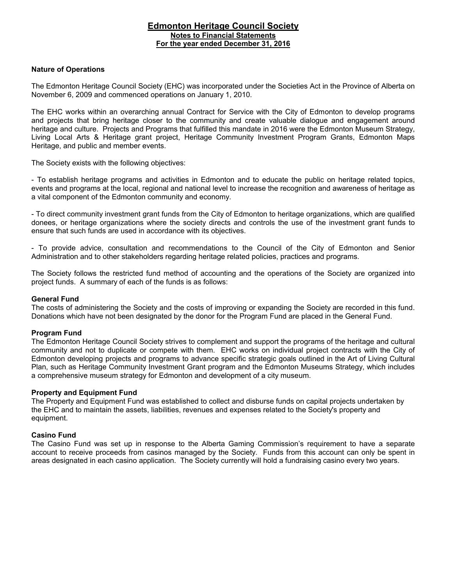## **Nature of Operations**

The Edmonton Heritage Council Society (EHC) was incorporated under the Societies Act in the Province of Alberta on November 6, 2009 and commenced operations on January 1, 2010.

The EHC works within an overarching annual Contract for Service with the City of Edmonton to develop programs and projects that bring heritage closer to the community and create valuable dialogue and engagement around heritage and culture. Projects and Programs that fulfilled this mandate in 2016 were the Edmonton Museum Strategy, Living Local Arts & Heritage grant project, Heritage Community Investment Program Grants, Edmonton Maps Heritage, and public and member events.

The Society exists with the following objectives:

- To establish heritage programs and activities in Edmonton and to educate the public on heritage related topics, events and programs at the local, regional and national level to increase the recognition and awareness of heritage as a vital component of the Edmonton community and economy.

- To direct community investment grant funds from the City of Edmonton to heritage organizations, which are qualified donees, or heritage organizations where the society directs and controls the use of the investment grant funds to ensure that such funds are used in accordance with its objectives.

- To provide advice, consultation and recommendations to the Council of the City of Edmonton and Senior Administration and to other stakeholders regarding heritage related policies, practices and programs.

The Society follows the restricted fund method of accounting and the operations of the Society are organized into project funds. A summary of each of the funds is as follows:

#### **General Fund**

The costs of administering the Society and the costs of improving or expanding the Society are recorded in this fund. Donations which have not been designated by the donor for the Program Fund are placed in the General Fund.

#### **Program Fund**

The Edmonton Heritage Council Society strives to complement and support the programs of the heritage and cultural community and not to duplicate or compete with them. EHC works on individual project contracts with the City of Edmonton developing projects and programs to advance specific strategic goals outlined in the Art of Living Cultural Plan, such as Heritage Community Investment Grant program and the Edmonton Museums Strategy, which includes a comprehensive museum strategy for Edmonton and development of a city museum.

#### **Property and Equipment Fund**

The Property and Equipment Fund was established to collect and disburse funds on capital projects undertaken by the EHC and to maintain the assets, liabilities, revenues and expenses related to the Society's property and equipment.

#### **Casino Fund**

The Casino Fund was set up in response to the Alberta Gaming Commission's requirement to have a separate account to receive proceeds from casinos managed by the Society. Funds from this account can only be spent in areas designated in each casino application. The Society currently will hold a fundraising casino every two years.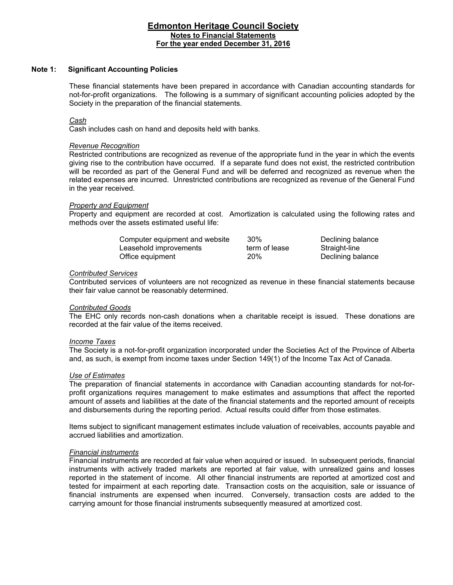### **Note 1: Significant Accounting Policies**

These financial statements have been prepared in accordance with Canadian accounting standards for not-for-profit organizations. The following is a summary of significant accounting policies adopted by the Society in the preparation of the financial statements.

*Cash*

Cash includes cash on hand and deposits held with banks.

### *Revenue Recognition*

Restricted contributions are recognized as revenue of the appropriate fund in the year in which the events giving rise to the contribution have occurred. If a separate fund does not exist, the restricted contribution will be recorded as part of the General Fund and will be deferred and recognized as revenue when the related expenses are incurred. Unrestricted contributions are recognized as revenue of the General Fund in the year received.

#### *Property and Equipment*

Property and equipment are recorded at cost. Amortization is calculated using the following rates and methods over the assets estimated useful life:

| Computer equipment and website | 30%           | Declining balance |
|--------------------------------|---------------|-------------------|
| Leasehold improvements         | term of lease | Straight-line     |
| Office equipment               | <b>20%</b>    | Declining balance |

#### *Contributed Services*

Contributed services of volunteers are not recognized as revenue in these financial statements because their fair value cannot be reasonably determined.

#### *Contributed Goods*

The EHC only records non-cash donations when a charitable receipt is issued. These donations are recorded at the fair value of the items received.

#### *Income Taxes*

The Society is a not-for-profit organization incorporated under the Societies Act of the Province of Alberta and, as such, is exempt from income taxes under Section 149(1) of the Income Tax Act of Canada.

#### *Use of Estimates*

The preparation of financial statements in accordance with Canadian accounting standards for not-forprofit organizations requires management to make estimates and assumptions that affect the reported amount of assets and liabilities at the date of the financial statements and the reported amount of receipts and disbursements during the reporting period. Actual results could differ from those estimates.

Items subject to significant management estimates include valuation of receivables, accounts payable and accrued liabilities and amortization.

#### *Financial instruments*

Financial instruments are recorded at fair value when acquired or issued. In subsequent periods, financial instruments with actively traded markets are reported at fair value, with unrealized gains and losses reported in the statement of income. All other financial instruments are reported at amortized cost and tested for impairment at each reporting date. Transaction costs on the acquisition, sale or issuance of financial instruments are expensed when incurred. Conversely, transaction costs are added to the carrying amount for those financial instruments subsequently measured at amortized cost.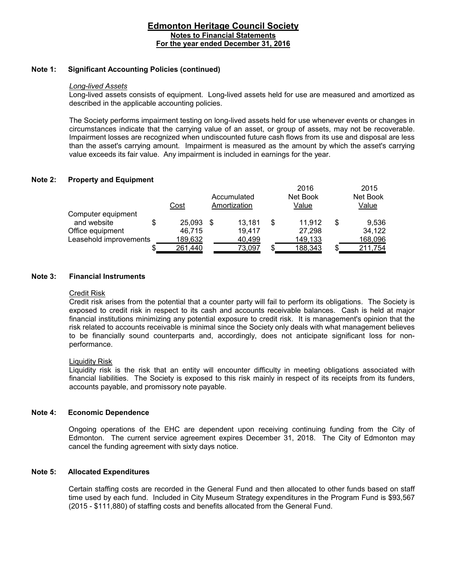## **Note 1: Significant Accounting Policies (continued)**

#### *Long-lived Assets*

Long-lived assets consists of equipment. Long-lived assets held for use are measured and amortized as described in the applicable accounting policies.

The Society performs impairment testing on long-lived assets held for use whenever events or changes in circumstances indicate that the carrying value of an asset, or group of assets, may not be recoverable. Impairment losses are recognized when undiscounted future cash flows from its use and disposal are less than the asset's carrying amount. Impairment is measured as the amount by which the asset's carrying value exceeds its fair value. Any impairment is included in earnings for the year.

#### **Note 2: Property and Equipment**

|                        |              |      | Accumulated  |    | 2016<br>Net Book |   | 2015<br>Net Book |
|------------------------|--------------|------|--------------|----|------------------|---|------------------|
|                        | Cost         |      | Amortization |    | Value            |   | Value            |
| Computer equipment     |              |      |              |    |                  |   |                  |
| and website            | \$<br>25,093 | - \$ | 13.181       | \$ | 11.912           | S | 9,536            |
| Office equipment       | 46.715       |      | 19,417       |    | 27,298           |   | 34,122           |
| Leasehold improvements | 189,632      |      | 40,499       |    | 149,133          |   | 168,096          |
|                        | 261,440      |      | 73,097       | S  | 188,343          |   | 211.754          |

### **Note 3: Financial Instruments**

#### Credit Risk

Credit risk arises from the potential that a counter party will fail to perform its obligations. The Society is exposed to credit risk in respect to its cash and accounts receivable balances. Cash is held at major financial institutions minimizing any potential exposure to credit risk. It is management's opinion that the risk related to accounts receivable is minimal since the Society only deals with what management believes to be financially sound counterparts and, accordingly, does not anticipate significant loss for nonperformance.

#### Liquidity Risk

Liquidity risk is the risk that an entity will encounter difficulty in meeting obligations associated with financial liabilities. The Society is exposed to this risk mainly in respect of its receipts from its funders, accounts payable, and promissory note payable.

#### **Note 4: Economic Dependence**

Ongoing operations of the EHC are dependent upon receiving continuing funding from the City of Edmonton. The current service agreement expires December 31, 2018. The City of Edmonton may cancel the funding agreement with sixty days notice.

#### **Note 5: Allocated Expenditures**

Certain staffing costs are recorded in the General Fund and then allocated to other funds based on staff time used by each fund. Included in City Museum Strategy expenditures in the Program Fund is \$93,567 (2015 - \$111,880) of staffing costs and benefits allocated from the General Fund.